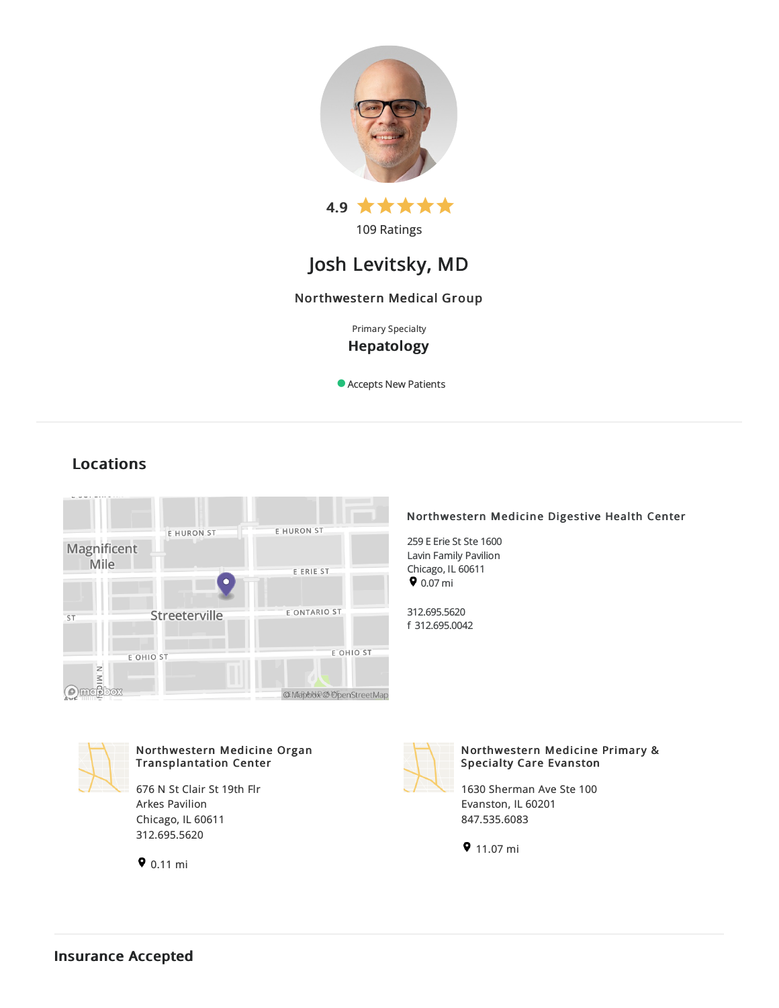

# Josh Levitsky, MD

## Northwestern Medical Group

Primary Specialty Hepatology

Accepts New Patients

## Locations



## Northwestern Medicine Digestive Health Center

259 E Erie St Ste 1600 Lavin Family Pavilion Chicago, IL 60611  $9.07 \text{ mi}$ 

312.695.5620 f 312.695.0042



## Northwestern Medicine Organ Transplantation Center

676 N St Clair St 19th Flr Arkes Pavilion Chicago, IL 60611 312.695.5620





## Northwestern Medicine Primary & Specialty Care Evanston

1630 Sherman Ave Ste 100 Evanston, IL 60201 847.535.6083

 $911.07 \text{ mi}$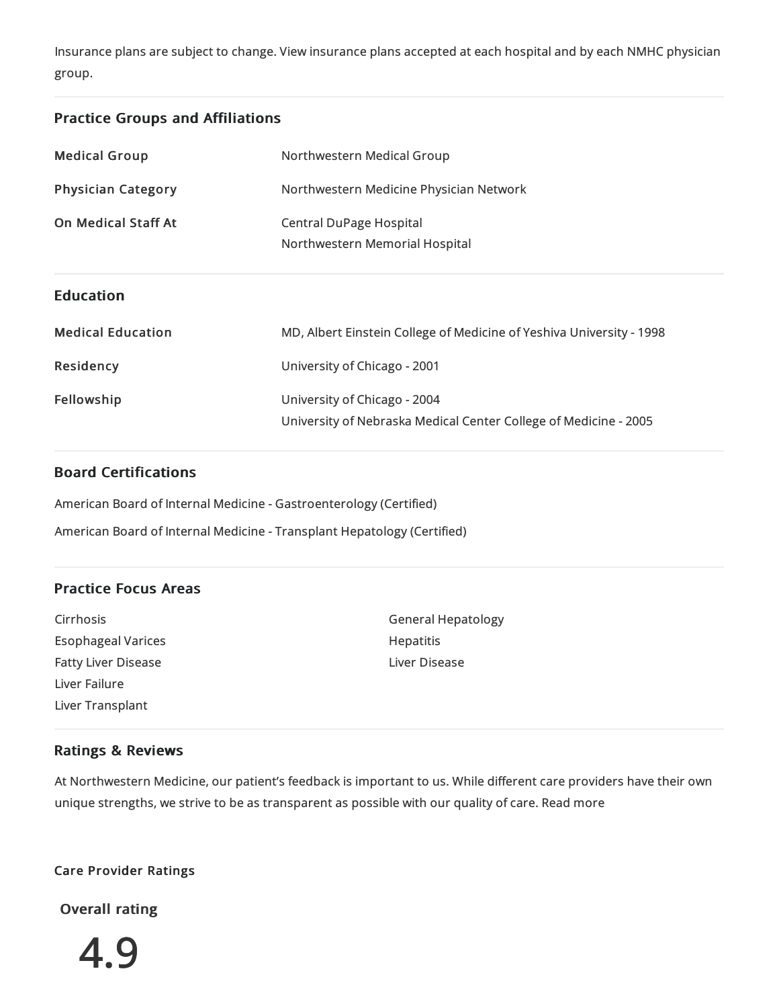Insurance plans are subject to change. View [insurance](https://www.nm.org/patients-and-visitors/billing-and-insurance/insurance-information/accepted-insurance-plans) plans accepted at each hospital and by each NMHC physician group.

## Practice Groups and Affiliations

| <b>Medical Group</b>       | Northwestern Medical Group                                                                       |
|----------------------------|--------------------------------------------------------------------------------------------------|
| <b>Physician Category</b>  | Northwestern Medicine Physician Network                                                          |
| <b>On Medical Staff At</b> | <b>Central DuPage Hospital</b><br>Northwestern Memorial Hospital                                 |
| <b>Education</b>           |                                                                                                  |
| <b>Medical Education</b>   | MD, Albert Einstein College of Medicine of Yeshiva University - 1998                             |
| <b>Residency</b>           | University of Chicago - 2001                                                                     |
| Fellowship                 | University of Chicago - 2004<br>University of Nebraska Medical Center College of Medicine - 2005 |

## Board Certifications

American Board of Internal Medicine- Gastroenterology (Certified)

American Board of Internal Medicine-Transplant Hepatology (Certified)

## Practice Focus Areas

Cirrhosis Esophageal Varices Fatty Liver Disease Liver Failure Liver Transplant

General Hepatology Hepatitis Liver Disease

## Ratings & Reviews

At Northwestern Medicine, our patient's feedback is important to us. While different care providers have their own unique strengths, we strive to be as transparent as possible with our quality of care. Read more

## Care Provider Ratings

Overall rating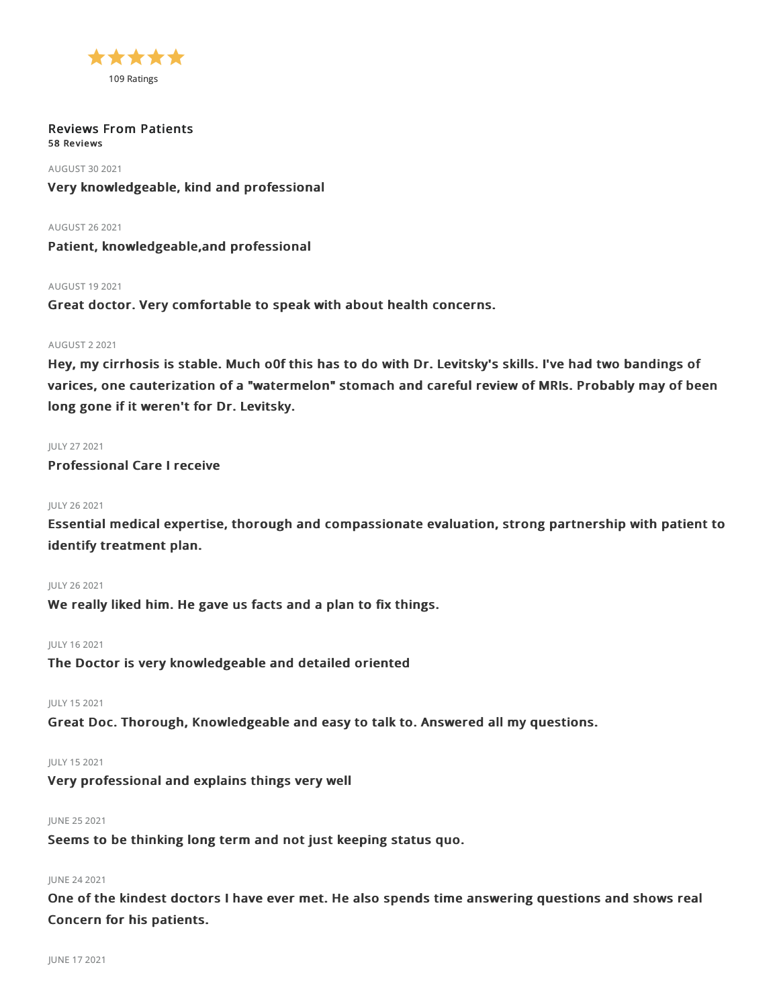

#### Reviews From Patients 58 Reviews

AUGUST 302021 Very knowledgeable, kind and professional

AUGUST 262021

Patient, knowledgeable,and professional

AUGUST 192021

Great doctor. Very comfortable to speak with about health concerns.

#### AUGUST 22021

Hey, my cirrhosis is stable. Much o0f this has to do with Dr. Levitsky's skills. I've had two bandings of varices, one cauterization of a "watermelon" stomach and careful review of MRIs. Probably may of been long gone if it weren't for Dr. Levitsky.

JULY 272021 Professional Care I receive

#### JULY 262021

Essential medical expertise, thorough and compassionate evaluation, strong partnership with patient to identify treatment plan.

#### JULY 262021

We really liked him. He gave us facts and a plan to fix things.

#### JULY 162021

The Doctor is very knowledgeable and detailed oriented

JULY 152021

Great Doc. Thorough, Knowledgeable and easy to talk to. Answered all my questions.

#### JULY 152021

Very professional and explains things very well

JUNE 252021

Seems to be thinking long term and not just keeping status quo.

#### JUNE 242021

One of the kindest doctors I have ever met. He also spends time answering questions and shows real Concern for his patients.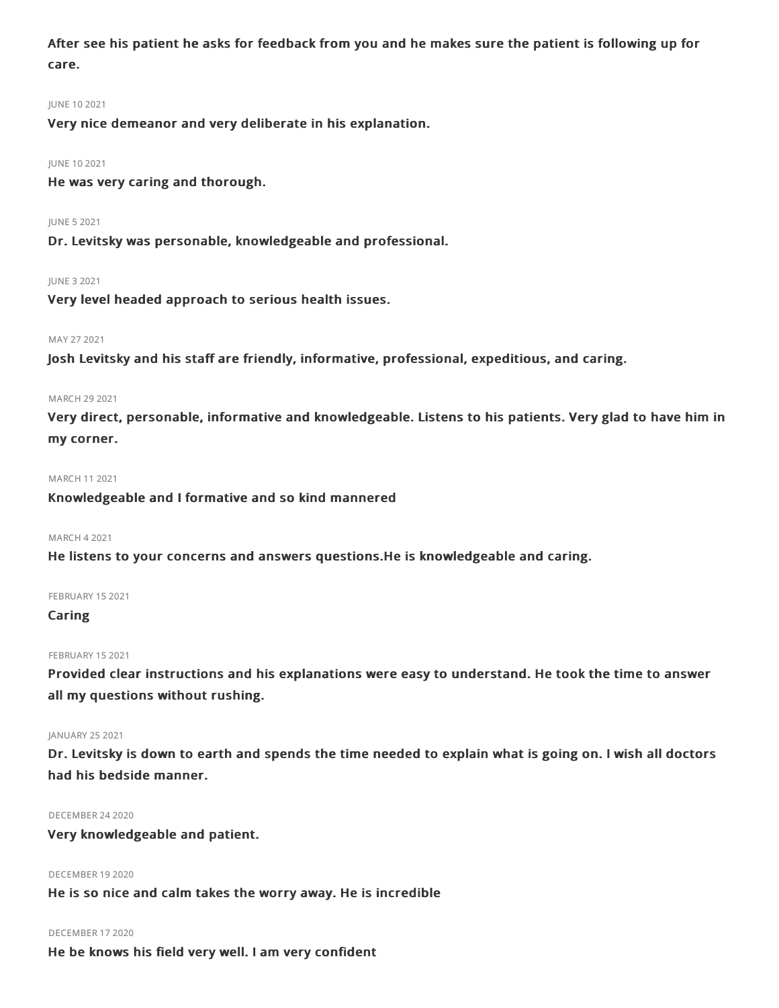After see his patient he asks for feedback from you and he makes sure the patient is following up for care.

#### JUNE 102021

Very nice demeanor and very deliberate in his explanation.

#### JUNE 102021

He was very caring and thorough.

#### JUNE 52021

Dr. Levitsky was personable, knowledgeable and professional.

#### JUNE 32021

Very level headed approach to serious health issues.

#### MAY 27 2021

Josh Levitsky and his staff are friendly, informative, professional, expeditious, and caring.

#### MARCH 29 2021

Very direct, personable, informative and knowledgeable. Listens to his patients. Very glad to have him in my corner.

#### MARCH 112021

Knowledgeable and I formative and so kind mannered

#### MARCH 42021

He listens to your concerns and answers questions.He is knowledgeable and caring.

#### FEBRUARY 15 2021

#### Caring

#### FEBRUARY 15 2021

Provided clear instructions and his explanations were easy to understand. He took the time to answer all my questions without rushing.

#### JANUARY 252021

Dr. Levitsky is down to earth and spends the time needed to explain what is going on. I wish all doctors had his bedside manner.

#### DECEMBER 242020

Very knowledgeable and patient.

DECEMBER 192020 He is so nice and calm takes the worry away. He is incredible

#### DECEMBER 172020

He be knows his field very well. I am very confident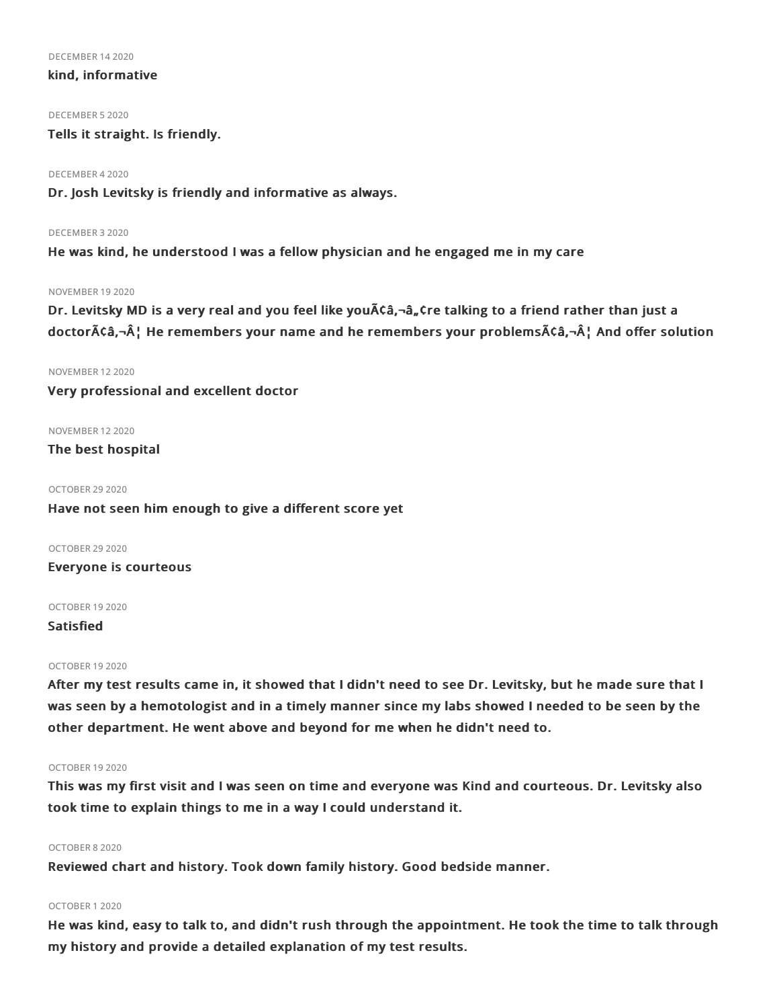DECEMBER 142020

#### kind, informative

DECEMBER 52020

Tells it straight. Is friendly.

DECEMBER 42020

Dr. Josh Levitsky is friendly and informative as always.

DECEMBER 32020

He was kind, he understood I was a fellow physician and he engaged me in my care

#### NOVEMBER 192020

Dr. Levitsky MD is a very real and you feel like you Aca,-a, Cre talking to a friend rather than just a doctor $\tilde{A}$ câ, $\tilde{A}$ , He remembers your name and he remembers your problems $\tilde{A}$ câ, $\tilde{A}$ , And offer solution

#### NOVEMBER 122020

Very professional and excellent doctor

NOVEMBER 122020

The best hospital

OCTOBER 29.2020 Have not seen him enough to give a different score yet

OCTOBER 29 2020 Everyone is courteous

OCTOBER 192020

Satisfied

#### OCTOBER 192020

After my test results came in, it showed that I didn't need to see Dr. Levitsky, but he made sure that I was seen by a hemotologist and in a timely manner since my labs showed I needed to be seen by the other department. He went above and beyond for me when he didn't need to.

#### OCTOBER 192020

This was my first visit and I was seen on time and everyone was Kind and courteous. Dr. Levitsky also took time to explain things to me in a way I could understand it.

#### OCTOBER 82020

Reviewed chart and history. Took down family history. Good bedside manner.

## OCTOBER 12020

He was kind, easy to talk to, and didn't rush through the appointment. He took the time to talk through my history and provide a detailed explanation of my test results.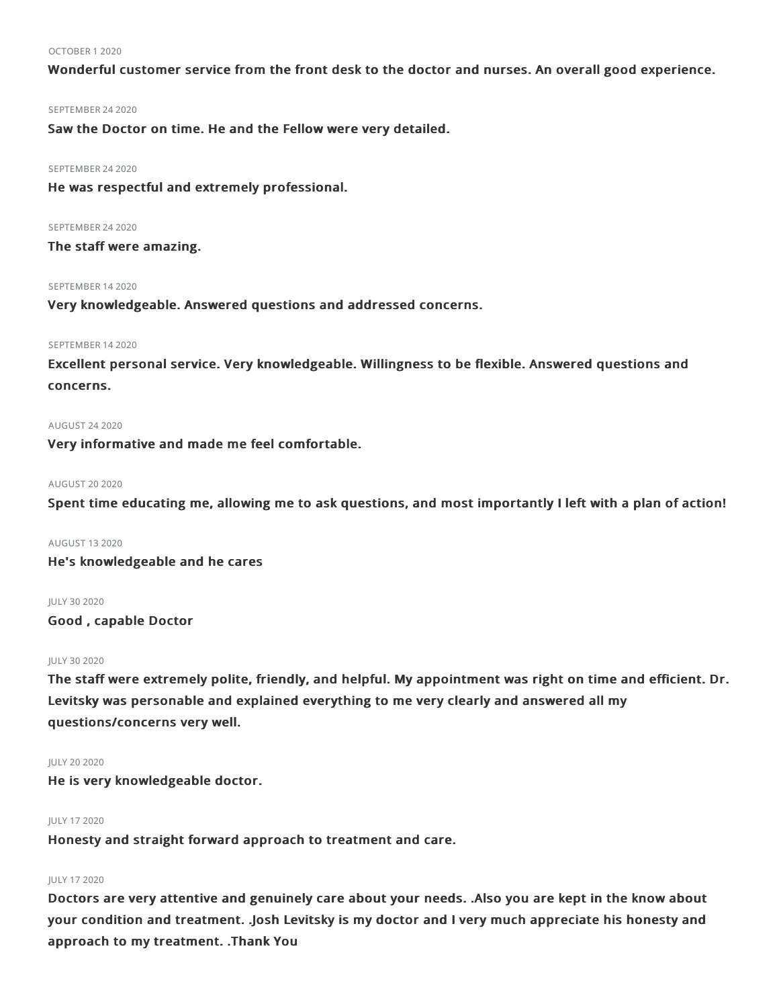#### OCTOBER 12020

Wonderful customer service from the front desk to the doctor and nurses. An overall good experience.

#### SEPTEMBER 24 2020

Saw the Doctor on time. He and the Fellow were very detailed.

#### SEPTEMBER 24 2020

He was respectful and extremely professional.

#### SEPTEMBER 24 2020

The staff were amazing.

#### SEPTEMBER 142020

Very knowledgeable. Answered questions and addressed concerns.

#### SEPTEMBER 142020

Excellent personal service. Very knowledgeable. Willingness to be flexible. Answered questions and concerns.

#### AUGUST 242020

Very informative and made me feel comfortable.

#### **AUGUST 20 2020**

Spent time educating me, allowing me to ask questions, and most importantly I left with a plan of action!

#### AUGUST 132020

He's knowledgeable and he cares

#### JULY 302020

Good , capable Doctor

#### JULY 302020

The staff were extremely polite, friendly, and helpful. My appointment was right on time and efficient. Dr. Levitsky was personable and explained everything to me very clearly and answered all my questions/concerns very well.

#### JULY 20 2020

He is very knowledgeable doctor.

#### JULY 172020

Honesty and straight forward approach to treatment and care.

#### JULY 172020

Doctors are very attentive and genuinely care about your needs. .Also you are kept in the know about your condition and treatment. .Josh Levitsky is my doctor and I very much appreciate his honesty and approach to my treatment. .Thank You